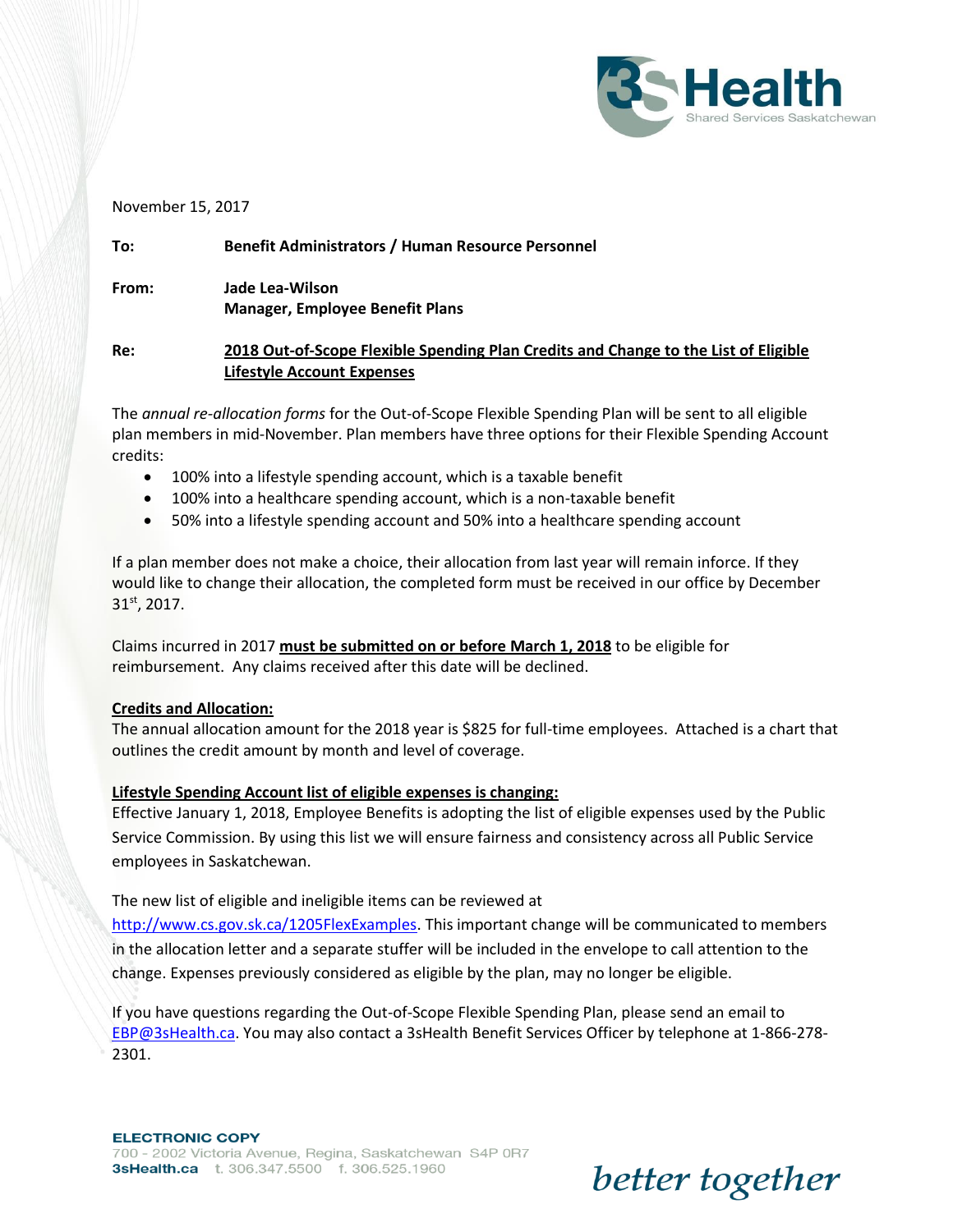

#### November 15, 2017

# **To: Benefit Administrators / Human Resource Personnel From: Jade Lea-Wilson Manager, Employee Benefit Plans**

#### **Re: 2018 Out-of-Scope Flexible Spending Plan Credits and Change to the List of Eligible Lifestyle Account Expenses**

The *annual re-allocation forms* for the Out-of-Scope Flexible Spending Plan will be sent to all eligible plan members in mid-November. Plan members have three options for their Flexible Spending Account credits:

- 100% into a lifestyle spending account, which is a taxable benefit
- 100% into a healthcare spending account, which is a non-taxable benefit
- 50% into a lifestyle spending account and 50% into a healthcare spending account

If a plan member does not make a choice, their allocation from last year will remain inforce. If they would like to change their allocation, the completed form must be received in our office by December 31st, 2017.

Claims incurred in 2017 **must be submitted on or before March 1, 2018** to be eligible for reimbursement. Any claims received after this date will be declined.

#### **Credits and Allocation:**

The annual allocation amount for the 2018 year is \$825 for full-time employees. Attached is a chart that outlines the credit amount by month and level of coverage.

#### **Lifestyle Spending Account list of eligible expenses is changing:**

Effective January 1, 2018, Employee Benefits is adopting the list of eligible expenses used by the Public Service Commission. By using this list we will ensure fairness and consistency across all Public Service employees in Saskatchewan.

#### The new list of eligible and ineligible items can be reviewed at

[http://www.cs.gov.sk.ca/1205FlexExamples.](http://www.cs.gov.sk.ca/1205FlexExamples) This important change will be communicated to members in the allocation letter and a separate stuffer will be included in the envelope to call attention to the change. Expenses previously considered as eligible by the plan, may no longer be eligible.

If you have questions regarding the Out-of-Scope Flexible Spending Plan, please send an email to [EBP@3sHealth.ca.](mailto:EBP@3sHealth.ca) You may also contact a 3sHealth Benefit Services Officer by telephone at 1-866-278- 2301.

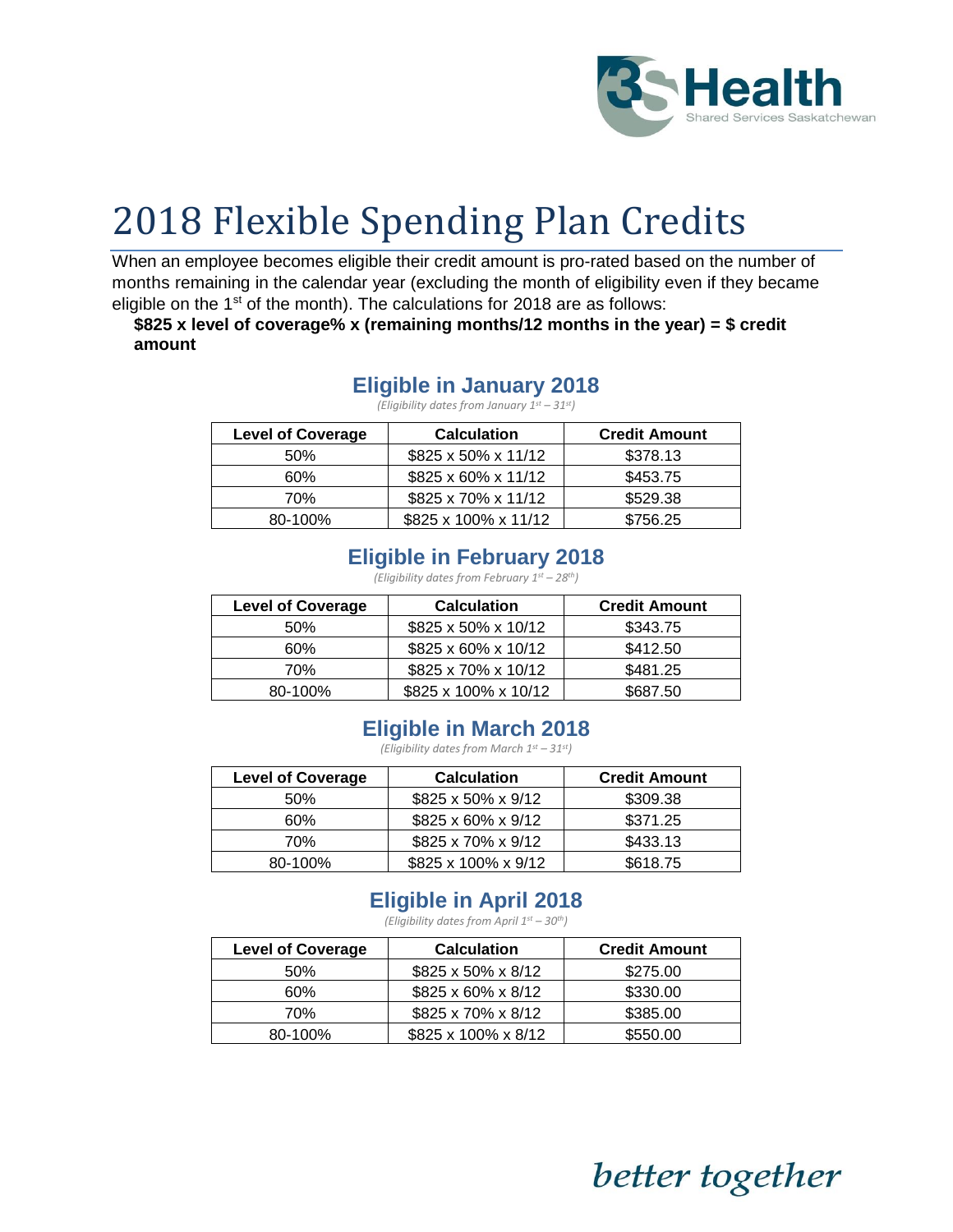

# 2018 Flexible Spending Plan Credits

When an employee becomes eligible their credit amount is pro-rated based on the number of months remaining in the calendar year (excluding the month of eligibility even if they became eligible on the  $1<sup>st</sup>$  of the month). The calculations for 2018 are as follows:

**\$825 x level of coverage% x (remaining months/12 months in the year) = \$ credit amount**

#### **Eligible in January 2018**

*(Eligibility dates from January 1st – 31st)*

| <b>Level of Coverage</b> | <b>Calculation</b>   | <b>Credit Amount</b> |
|--------------------------|----------------------|----------------------|
| 50%                      | \$825 x 50% x 11/12  | \$378.13             |
| 60%                      | \$825 x 60% x 11/12  | \$453.75             |
| 70%                      | \$825 x 70% x 11/12  | \$529.38             |
| 80-100%                  | \$825 x 100% x 11/12 | \$756.25             |

## **Eligible in February 2018**

*(Eligibility dates from February 1st – 28th)*

| <b>Level of Coverage</b> | <b>Calculation</b>   | <b>Credit Amount</b> |
|--------------------------|----------------------|----------------------|
| 50%                      | \$825 x 50% x 10/12  | \$343.75             |
| 60%                      | \$825 x 60% x 10/12  | \$412.50             |
| 70%                      | \$825 x 70% x 10/12  | \$481.25             |
| 80-100%                  | \$825 x 100% x 10/12 | \$687.50             |

#### **Eligible in March 2018**

*(Eligibility dates from March 1st – 31st)*

| <b>Level of Coverage</b> | <b>Calculation</b>  | <b>Credit Amount</b> |
|--------------------------|---------------------|----------------------|
| 50%                      | \$825 x 50% x 9/12  | \$309.38             |
| 60%                      | \$825 x 60% x 9/12  | \$371.25             |
| 70%                      | \$825 x 70% x 9/12  | \$433.13             |
| 80-100%                  | \$825 x 100% x 9/12 | \$618.75             |

## **Eligible in April 2018**

*(Eligibility dates from April 1st – 30th)*

| <b>Level of Coverage</b> | <b>Calculation</b>  | <b>Credit Amount</b> |
|--------------------------|---------------------|----------------------|
| 50%                      | \$825 x 50% x 8/12  | \$275.00             |
| 60%                      | \$825 x 60% x 8/12  | \$330.00             |
| 70%                      | \$825 x 70% x 8/12  | \$385.00             |
| 80-100%                  | \$825 x 100% x 8/12 | \$550.00             |

better together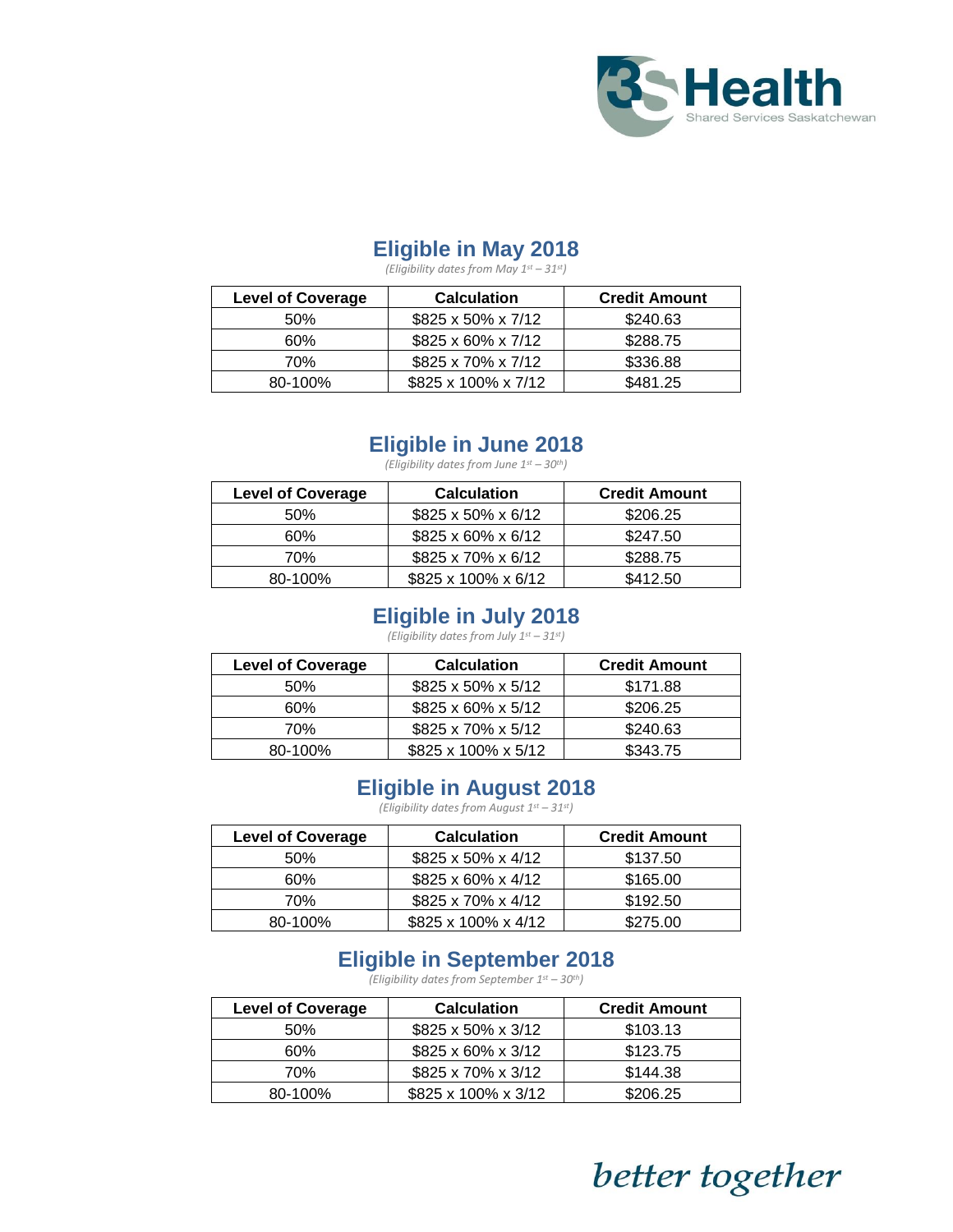

## **Eligible in May 2018**

*(Eligibility dates from May 1st – 31st)*

| <b>Level of Coverage</b> | <b>Calculation</b>  | <b>Credit Amount</b> |
|--------------------------|---------------------|----------------------|
| 50%                      | \$825 x 50% x 7/12  | \$240.63             |
| 60%                      | \$825 x 60% x 7/12  | \$288.75             |
| 70%                      | \$825 x 70% x 7/12  | \$336.88             |
| 80-100%                  | \$825 x 100% x 7/12 | \$481.25             |

#### **Eligible in June 2018**

*(Eligibility dates from June 1st – 30th)*

| <b>Level of Coverage</b> | <b>Calculation</b>  | <b>Credit Amount</b> |
|--------------------------|---------------------|----------------------|
| 50%                      | \$825 x 50% x 6/12  | \$206.25             |
| 60%                      | \$825 x 60% x 6/12  | \$247.50             |
| 70%                      | \$825 x 70% x 6/12  | \$288.75             |
| 80-100%                  | \$825 x 100% x 6/12 | \$412.50             |

#### **Eligible in July 2018**

*(Eligibility dates from July 1st – 31st)*

| <b>Level of Coverage</b> | <b>Calculation</b>  | <b>Credit Amount</b> |
|--------------------------|---------------------|----------------------|
| 50%                      | \$825 x 50% x 5/12  | \$171.88             |
| 60%                      | \$825 x 60% x 5/12  | \$206.25             |
| 70%                      | \$825 x 70% x 5/12  | \$240.63             |
| 80-100%                  | \$825 x 100% x 5/12 | \$343.75             |

#### **Eligible in August 2018**

*(Eligibility dates from August 1st – 31st)*

| <b>Level of Coverage</b> | <b>Calculation</b>  | <b>Credit Amount</b> |
|--------------------------|---------------------|----------------------|
| 50%                      | \$825 x 50% x 4/12  | \$137.50             |
| 60%                      | \$825 x 60% x 4/12  | \$165.00             |
| 70%                      | \$825 x 70% x 4/12  | \$192.50             |
| 80-100%                  | \$825 x 100% x 4/12 | \$275.00             |

## **Eligible in September 2018**

*(Eligibility dates from September 1st – 30th)*

| <b>Level of Coverage</b> | <b>Calculation</b>  | <b>Credit Amount</b> |
|--------------------------|---------------------|----------------------|
| .50%                     | \$825 x 50% x 3/12  | \$103.13             |
| 60%                      | \$825 x 60% x 3/12  | \$123.75             |
| 70%                      | \$825 x 70% x 3/12  | \$144.38             |
| 80-100%                  | \$825 x 100% x 3/12 | \$206.25             |

# better together